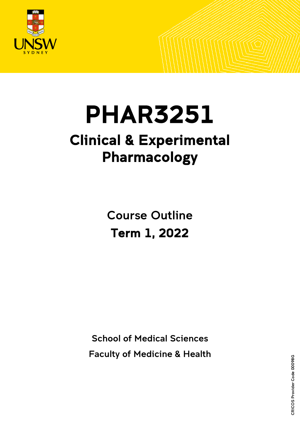

# PHAR3251 Clinical & Experimental Pharmacology

Course Outline Term 1, 2022

School of Medical Sciences Faculty of Medicine & Health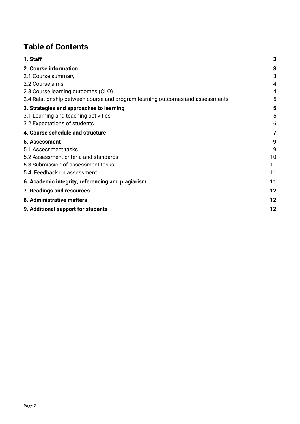# **Table of Contents**

| 1. Staff                                                                      | 3  |
|-------------------------------------------------------------------------------|----|
| 2. Course information                                                         | 3  |
| 2.1 Course summary                                                            | 3  |
| 2.2 Course aims                                                               | 4  |
| 2.3 Course learning outcomes (CLO)                                            | 4  |
| 2.4 Relationship between course and program learning outcomes and assessments | 5  |
| 3. Strategies and approaches to learning                                      | 5  |
| 3.1 Learning and teaching activities                                          | 5  |
| 3.2 Expectations of students                                                  | 6  |
| 4. Course schedule and structure                                              | 7  |
| 5. Assessment                                                                 | 9  |
| 5.1 Assessment tasks                                                          | 9  |
| 5.2 Assessment criteria and standards                                         | 10 |
| 5.3 Submission of assessment tasks                                            | 11 |
| 5.4. Feedback on assessment                                                   | 11 |
| 6. Academic integrity, referencing and plagiarism                             | 11 |
| 7. Readings and resources                                                     | 12 |
| 8. Administrative matters                                                     | 12 |
| 9. Additional support for students                                            | 12 |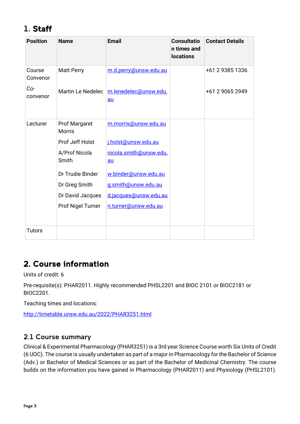# <span id="page-2-0"></span>1. Staff

| <b>Position</b>    | <b>Name</b>                           | <b>Email</b>                  | <b>Consultatio</b><br>n times and<br><b>locations</b> | <b>Contact Details</b> |
|--------------------|---------------------------------------|-------------------------------|-------------------------------------------------------|------------------------|
| Course<br>Convenor | <b>Matt Perry</b>                     | m.d.perry@unsw.edu.au         |                                                       | +61 2 9385 1336        |
| Co-<br>convenor    | Martin Le Nedelec                     | m.lenedelec@unsw.edu.<br>$au$ |                                                       | +61 2 9065 2949        |
| Lecturer           | <b>Prof Margaret</b><br><b>Morris</b> | m.morris@unsw.edu.au          |                                                       |                        |
|                    | Prof Jeff Holst                       | j.holst@unsw.edu.au           |                                                       |                        |
|                    | A/Prof Nicola<br>Smith                | nicola.smith@unsw.edu.<br>au  |                                                       |                        |
|                    | Dr Trudie Binder                      | w.binder@unsw.edu.au          |                                                       |                        |
|                    | Dr Greg Smith                         | g.smith@unsw.edu.au           |                                                       |                        |
|                    | Dr David Jacques                      | d.jacques@unsw.edu.au         |                                                       |                        |
|                    | Prof Nigel Turner                     | n.turner@unsw.edu.au          |                                                       |                        |
|                    |                                       |                               |                                                       |                        |
| <b>Tutors</b>      |                                       |                               |                                                       |                        |

# <span id="page-2-1"></span>2. Course information

Units of credit: 6

Pre-requisite(s): PHAR2011. Highly recommended PHSL2201 and BIOC 2101 or BIOC2181 or BIOC2201.

Teaching times and locations:

<http://timetable.unsw.edu.au/2022/PHAR3251.html>

### <span id="page-2-2"></span>2.1 Course summary

Clinical & Experimental Pharmacology (PHAR3251) is a 3rd year Science Course worth Six Units of Credit (6 UOC). The course is usually undertaken as part of a major in Pharmacology for the Bachelor of Science (Adv.) or Bachelor of Medical Sciences or as part of the Bachelor of Medicinal Chemistry. The course builds on the information you have gained in Pharmacology (PHAR2011) and Physiology (PHSL2101).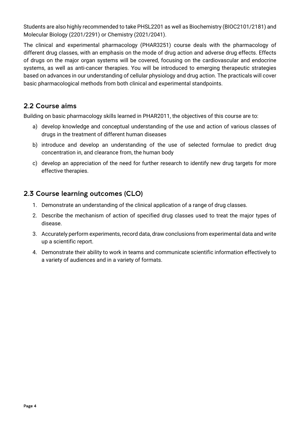Students are also highly recommended to take PHSL2201 as well as Biochemistry (BIOC2101/2181) and Molecular Biology (2201/2291) or Chemistry (2021/2041).

The clinical and experimental pharmacology (PHAR3251) course deals with the pharmacology of different drug classes, with an emphasis on the mode of drug action and adverse drug effects. Effects of drugs on the major organ systems will be covered, focusing on the cardiovascular and endocrine systems, as well as anti-cancer therapies. You will be introduced to emerging therapeutic strategies based on advances in our understanding of cellular physiology and drug action. The practicals will cover basic pharmacological methods from both clinical and experimental standpoints.

### <span id="page-3-0"></span>2.2 Course aims

Building on basic pharmacology skills learned in PHAR2011, the objectives of this course are to:

- a) develop knowledge and conceptual understanding of the use and action of various classes of drugs in the treatment of different human diseases
- b) introduce and develop an understanding of the use of selected formulae to predict drug concentration in, and clearance from, the human body
- c) develop an appreciation of the need for further research to identify new drug targets for more effective therapies.

### <span id="page-3-1"></span>2.3 Course learning outcomes (CLO)

- 1. Demonstrate an understanding of the clinical application of a range of drug classes.
- 2. Describe the mechanism of action of specified drug classes used to treat the major types of disease.
- 3. Accurately perform experiments, record data, draw conclusions from experimental data and write up a scientific report.
- 4. Demonstrate their ability to work in teams and communicate scientific information effectively to a variety of audiences and in a variety of formats.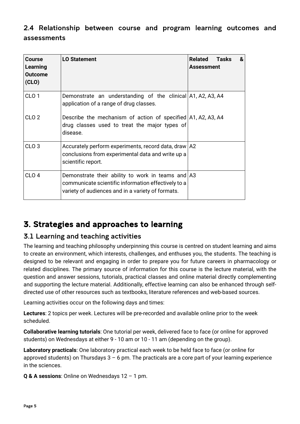### <span id="page-4-0"></span>2.4 Relationship between course and program learning outcomes and assessments

| <b>Course</b><br>Learning<br><b>Outcome</b><br>(CLO) | <b>LO Statement</b>                                                                                                                                                   | Related<br>Tasks<br>&<br><b>Assessment</b> |
|------------------------------------------------------|-----------------------------------------------------------------------------------------------------------------------------------------------------------------------|--------------------------------------------|
| CLO <sub>1</sub>                                     | Demonstrate an understanding of the clinical A1, A2, A3, A4<br>application of a range of drug classes.                                                                |                                            |
| CLO <sub>2</sub>                                     | Describe the mechanism of action of specified A1, A2, A3, A4<br>drug classes used to treat the major types of<br>disease.                                             |                                            |
| CLO <sub>3</sub>                                     | Accurately perform experiments, record data, draw   A2<br>conclusions from experimental data and write up a<br>scientific report.                                     |                                            |
| CLO <sub>4</sub>                                     | Demonstrate their ability to work in teams and $\vert$ A3<br>communicate scientific information effectively to a<br>variety of audiences and in a variety of formats. |                                            |

# <span id="page-4-1"></span>3. Strategies and approaches to learning

### <span id="page-4-2"></span>3.1 Learning and teaching activities

The learning and teaching philosophy underpinning this course is centred on student learning and aims to create an environment, which interests, challenges, and enthuses you, the students. The teaching is designed to be relevant and engaging in order to prepare you for future careers in pharmacology or related disciplines. The primary source of information for this course is the lecture material, with the question and answer sessions, tutorials, practical classes and online material directly complementing and supporting the lecture material. Additionally, effective learning can also be enhanced through selfdirected use of other resources such as textbooks, literature references and web-based sources.

Learning activities occur on the following days and times:

**Lectures**: 2 topics per week. Lectures will be pre-recorded and available online prior to the week scheduled.

**Collaborative learning tutorials**: One tutorial per week, delivered face to face (or online for approved students) on Wednesdays at either 9 - 10 am or 10 - 11 am (depending on the group).

**Laboratory practicals**: One laboratory practical each week to be held face to face (or online for approved students) on Thursdays  $3 - 6$  pm. The practicals are a core part of your learning experience in the sciences.

**Q & A sessions**: Online on Wednesdays 12 – 1 pm.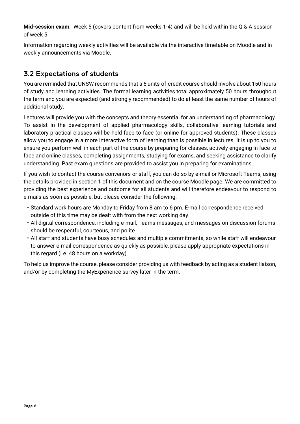**Mid-session exam**: Week 5 (covers content from weeks 1-4) and will be held within the Q & A session of week 5.

Information regarding weekly activities will be available via the interactive timetable on Moodle and in weekly announcements via Moodle.

### <span id="page-5-0"></span>3.2 Expectations of students

You are reminded that UNSW recommends that a 6 units-of-credit course should involve about 150 hours of study and learning activities. The formal learning activities total approximately 50 hours throughout the term and you are expected (and strongly recommended) to do at least the same number of hours of additional study.

Lectures will provide you with the concepts and theory essential for an understanding of pharmacology. To assist in the development of applied pharmacology skills, collaborative learning tutorials and laboratory practical classes will be held face to face (or online for approved students). These classes allow you to engage in a more interactive form of learning than is possible in lectures. It is up to you to ensure you perform well in each part of the course by preparing for classes, actively engaging in face to face and online classes, completing assignments, studying for exams, and seeking assistance to clarify understanding. Past exam questions are provided to assist you in preparing for examinations.

If you wish to contact the course convenors or staff, you can do so by e-mail or Microsoft Teams, using the details provided in section 1 of this document and on the course Moodle page. We are committed to providing the best experience and outcome for all students and will therefore endeavour to respond to e-mails as soon as possible, but please consider the following:

- Standard work hours are Monday to Friday from 8 am to 6 pm. E-mail correspondence received outside of this time may be dealt with from the next working day.
- All digital correspondence, including e-mail, Teams messages, and messages on discussion forums should be respectful, courteous, and polite.
- All staff and students have busy schedules and multiple commitments, so while staff will endeavour to answer e-mail correspondence as quickly as possible, please apply appropriate expectations in this regard (i.e. 48 hours on a workday).

To help us improve the course, please consider providing us with feedback by acting as a student liaison, and/or by completing the MyExperience survey later in the term.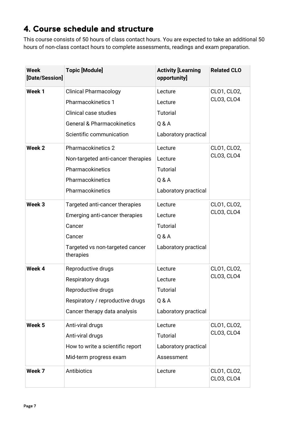# <span id="page-6-0"></span>4. Course schedule and structure

This course consists of 50 hours of class contact hours. You are expected to take an additional 50 hours of non-class contact hours to complete assessments, readings and exam preparation.

| <b>Week</b><br>[Date/Session] | <b>Topic [Module]</b>                        | <b>Activity [Learning</b><br>opportunity] | <b>Related CLO</b>        |  |
|-------------------------------|----------------------------------------------|-------------------------------------------|---------------------------|--|
| Week 1                        | <b>Clinical Pharmacology</b>                 | Lecture                                   | CLO1, CLO2,               |  |
|                               | <b>Pharmacokinetics 1</b>                    | Lecture                                   | CLO3, CLO4                |  |
|                               | Clinical case studies                        | <b>Tutorial</b>                           |                           |  |
|                               | <b>General &amp; Pharmacokinetics</b>        | Q & A                                     |                           |  |
|                               | Scientific communication                     | Laboratory practical                      |                           |  |
| Week <sub>2</sub>             | <b>Pharmacokinetics 2</b>                    | Lecture                                   | CLO1, CLO2,               |  |
|                               | Non-targeted anti-cancer therapies           | Lecture                                   | CLO3, CLO4                |  |
|                               | Pharmacokinetics                             | <b>Tutorial</b>                           |                           |  |
|                               | Pharmacokinetics                             | Q & A                                     |                           |  |
|                               | Pharmacokinetics                             | Laboratory practical                      |                           |  |
| Week <sub>3</sub>             | Targeted anti-cancer therapies               | Lecture                                   | CLO1, CLO2,               |  |
|                               | Emerging anti-cancer therapies               | Lecture                                   | CLO3, CLO4                |  |
|                               | Cancer                                       | <b>Tutorial</b>                           |                           |  |
|                               | Cancer                                       | Q & A                                     |                           |  |
|                               | Targeted vs non-targeted cancer<br>therapies | Laboratory practical                      |                           |  |
| Week 4                        | Reproductive drugs                           | Lecture                                   | CLO1, CLO2,               |  |
|                               | Respiratory drugs                            | Lecture                                   | CLO3, CLO4                |  |
|                               | Reproductive drugs                           | <b>Tutorial</b>                           |                           |  |
|                               | Respiratory / reproductive drugs             | Q & A                                     |                           |  |
|                               | Cancer therapy data analysis                 | Laboratory practical                      |                           |  |
| Week 5                        | Anti-viral drugs                             | Lecture                                   | CLO1, CLO2,               |  |
|                               | Anti-viral drugs                             | <b>Tutorial</b>                           | CLO3, CLO4                |  |
|                               | How to write a scientific report             | Laboratory practical                      |                           |  |
|                               | Mid-term progress exam                       | Assessment                                |                           |  |
| Week 7                        | Antibiotics                                  | Lecture                                   | CLO1, CLO2,<br>CLO3, CLO4 |  |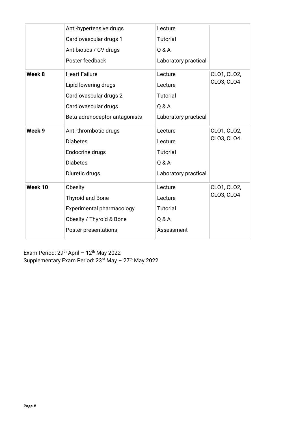|         | Anti-hypertensive drugs       | Lecture              |             |
|---------|-------------------------------|----------------------|-------------|
|         | Cardiovascular drugs 1        | Tutorial             |             |
|         | Antibiotics / CV drugs        | Q & A                |             |
|         | Poster feedback               | Laboratory practical |             |
| Week 8  | <b>Heart Failure</b>          | Lecture              | CLO1, CLO2, |
|         | Lipid lowering drugs          | Lecture              | CLO3, CLO4  |
|         | Cardiovascular drugs 2        | <b>Tutorial</b>      |             |
|         | Cardiovascular drugs          | Q & A                |             |
|         | Beta-adrenoceptor antagonists | Laboratory practical |             |
| Week 9  | Anti-thrombotic drugs         | Lecture              | CLO1, CLO2, |
|         | <b>Diabetes</b>               | Lecture              | CLO3, CLO4  |
|         | Endocrine drugs               | <b>Tutorial</b>      |             |
|         | <b>Diabetes</b>               | Q & A                |             |
|         | Diuretic drugs                | Laboratory practical |             |
| Week 10 | Obesity                       | Lecture              | CLO1, CLO2, |
|         | <b>Thyroid and Bone</b>       | Lecture              | CLO3, CLO4  |
|         | Experimental pharmacology     | <b>Tutorial</b>      |             |
|         | Obesity / Thyroid & Bone      | Q & A                |             |
|         | Poster presentations          | Assessment           |             |

Exam Period:  $29<sup>th</sup>$  April -  $12<sup>th</sup>$  May 2022 Supplementary Exam Period: 23<sup>rd</sup> May - 27<sup>th</sup> May 2022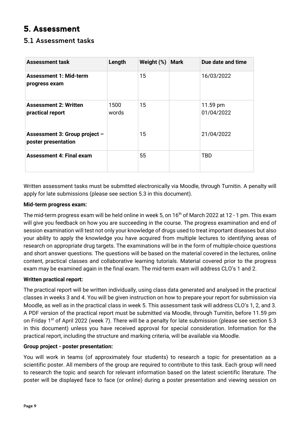# <span id="page-8-0"></span>5. Assessment

### <span id="page-8-1"></span>5.1 Assessment tasks

| <b>Assessment task</b>                               | Length        | Weight (%) | <b>Mark</b> | Due date and time      |
|------------------------------------------------------|---------------|------------|-------------|------------------------|
| <b>Assessment 1: Mid-term</b><br>progress exam       |               | 15         |             | 16/03/2022             |
| <b>Assessment 2: Written</b><br>practical report     | 1500<br>words | 15         |             | 11.59 pm<br>01/04/2022 |
| Assessment 3: Group project -<br>poster presentation |               | 15         |             | 21/04/2022             |
| <b>Assessment 4: Final exam</b>                      |               | 55         |             | <b>TBD</b>             |

Written assessment tasks must be submitted electronically via Moodle, through Turnitin. A penalty will apply for late submissions (please see section 5.3 in this document).

#### **Mid-term progress exam:**

The mid-term progress exam will be held online in week 5, on 16<sup>th</sup> of March 2022 at 12 - 1 pm. This exam will give you feedback on how you are succeeding in the course. The progress examination and end of session examination will test not only your knowledge of drugs used to treat important diseases but also your ability to apply the knowledge you have acquired from multiple lectures to identifying areas of research on appropriate drug targets. The examinations will be in the form of multiple-choice questions and short answer questions. The questions will be based on the material covered in the lectures, online content, practical classes and collaborative learning tutorials. Material covered prior to the progress exam may be examined again in the final exam. The mid-term exam will address CLO's 1 and 2.

#### **Written practical report:**

The practical report will be written individually, using class data generated and analysed in the practical classes in weeks 3 and 4. You will be given instruction on how to prepare your report for submission via Moodle, as well as in the practical class in week 5. This assessment task will address CLO's 1, 2, and 3. A PDF version of the practical report must be submitted via Moodle, through Turnitin, before 11.59 pm on Friday 1<sup>st</sup> of April 2022 (week 7). There will be a penalty for late submission (please see section 5.3 in this document) unless you have received approval for special consideration. Information for the practical report, including the structure and marking criteria, will be available via Moodle.

#### **Group project - poster presentation:**

You will work in teams (of approximately four students) to research a topic for presentation as a scientific poster. All members of the group are required to contribute to this task. Each group will need to research the topic and search for relevant information based on the latest scientific literature. The poster will be displayed face to face (or online) during a poster presentation and viewing session on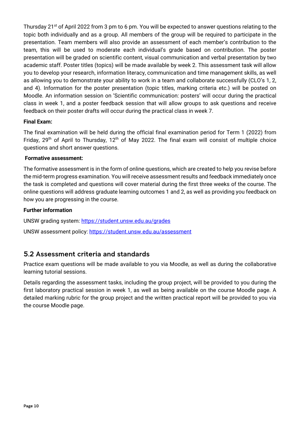Thursday 21<sup>st</sup> of April 2022 from 3 pm to 6 pm. You will be expected to answer questions relating to the topic both individually and as a group. All members of the group will be required to participate in the presentation. Team members will also provide an assessment of each member's contribution to the team, this will be used to moderate each individual's grade based on contribution. The poster presentation will be graded on scientific content, visual communication and verbal presentation by two academic staff. Poster titles (topics) will be made available by week 2. This assessment task will allow you to develop your research, information literacy, communication and time management skills, as well as allowing you to demonstrate your ability to work in a team and collaborate successfully (CLO's 1, 2, and 4). Information for the poster presentation (topic titles, marking criteria etc.) will be posted on Moodle. An information session on 'Scientific communication: posters' will occur during the practical class in week 1, and a poster feedback session that will allow groups to ask questions and receive feedback on their poster drafts will occur during the practical class in week 7.

#### **Final Exam:**

The final examination will be held during the official final examination period for Term 1 (2022) from Friday, 29<sup>th</sup> of April to Thursday,  $12<sup>th</sup>$  of May 2022. The final exam will consist of multiple choice questions and short answer questions.

#### **Formative assessment:**

The formative assessment is in the form of online questions, which are created to help you revise before the mid-term progress examination. You will receive assessment results and feedback immediately once the task is completed and questions will cover material during the first three weeks of the course. The online questions will address graduate learning outcomes 1 and 2, as well as providing you feedback on how you are progressing in the course.

#### **Further information**

UNSW grading system:<https://student.unsw.edu.au/grades>

UNSW assessment policy:<https://student.unsw.edu.au/assessment>

### <span id="page-9-0"></span>5.2 Assessment criteria and standards

Practice exam questions will be made available to you via Moodle, as well as during the collaborative learning tutorial sessions.

Details regarding the assessment tasks, including the group project, will be provided to you during the first laboratory practical session in week 1, as well as being available on the course Moodle page. A detailed marking rubric for the group project and the written practical report will be provided to you via the course Moodle page.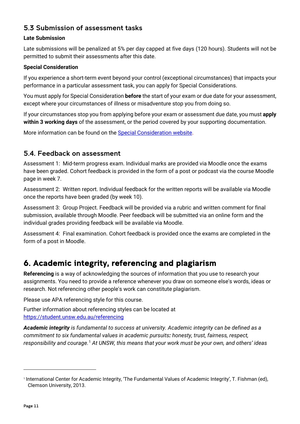### <span id="page-10-0"></span>5.3 Submission of assessment tasks

#### **Late Submission**

Late submissions will be penalized at 5% per day capped at five days (120 hours). Students will not be permitted to submit their assessments after this date.

#### **Special Consideration**

If you experience a short-term event beyond your control (exceptional circumstances) that impacts your performance in a particular assessment task, you can apply for Special Considerations.

You must apply for Special Consideration **before** the start of your exam or due date for your assessment, except where your circumstances of illness or misadventure stop you from doing so.

If your circumstances stop you from applying before your exam or assessment due date, you must **apply within 3 working days** of the assessment, or the period covered by your supporting documentation.

More information can be found on the [Special Consideration website.](https://www.student.unsw.edu.au/special-consideration)

### <span id="page-10-1"></span>5.4. Feedback on assessment

Assessment 1: Mid-term progress exam. Individual marks are provided via Moodle once the exams have been graded. Cohort feedback is provided in the form of a post or podcast via the course Moodle page in week 7.

Assessment 2: Written report. Individual feedback for the written reports will be available via Moodle once the reports have been graded (by week 10).

Assessment 3: Group Project. Feedback will be provided via a rubric and written comment for final submission, available through Moodle. Peer feedback will be submitted via an online form and the individual grades providing feedback will be available via Moodle.

Assessment 4: Final examination. Cohort feedback is provided once the exams are completed in the form of a post in Moodle.

## <span id="page-10-2"></span>6. Academic integrity, referencing and plagiarism

**Referencing** is a way of acknowledging the sources of information that you use to research your assignments. You need to provide a reference whenever you draw on someone else's words, ideas or research. Not referencing other people's work can constitute plagiarism.

Please use APA referencing style for this course.

Further information about referencing styles can be located at <https://student.unsw.edu.au/referencing>

*Academic integrity is fundamental to success at university. Academic integrity can be defined as a commitment to six fundamental values in academic pursuits: honesty, trust, fairness, respect, responsibility and courage.*[1](#page-10-3) *At UNSW, this means that your work must be your own, and others' ideas* 

<span id="page-10-3"></span><sup>1</sup> International Center for Academic Integrity, 'The Fundamental Values of Academic Integrity', T. Fishman (ed), Clemson University, 2013.